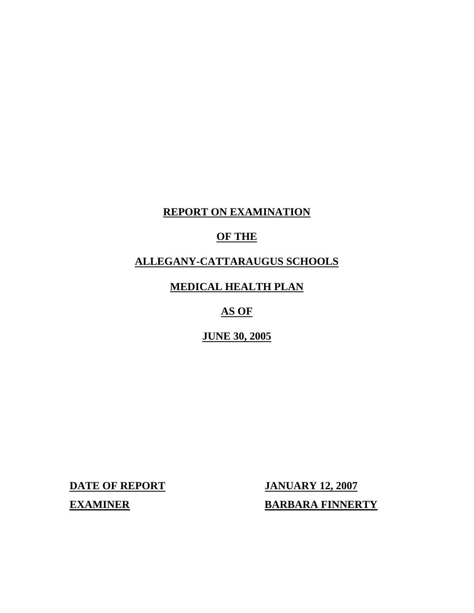## **REPORT ON EXAMINATION**

## **OF THE**

# **ALLEGANY-CATTARAUGUS SCHOOLS**

# **MEDICAL HEALTH PLAN**

# **AS OF**

## **JUNE 30, 2005**

**DATE OF REPORT JANUARY 12, 2007 EXAMINER** 

**EARBARA FINNERTY**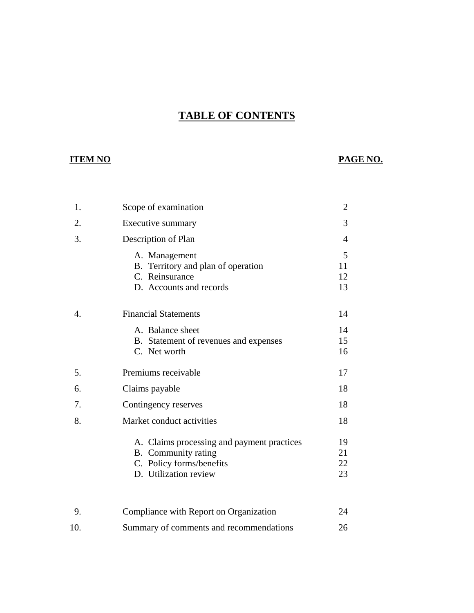# **TABLE OF CONTENTS**

## **ITEM NO**

## **PAGE NO.**

| 1.  | Scope of examination                                                                                                   | $\overline{2}$       |
|-----|------------------------------------------------------------------------------------------------------------------------|----------------------|
| 2.  | Executive summary                                                                                                      | 3                    |
| 3.  | Description of Plan                                                                                                    | $\overline{4}$       |
|     | A. Management<br>B. Territory and plan of operation<br>C. Reinsurance<br>D. Accounts and records                       | 5<br>11<br>12<br>13  |
| 4.  | <b>Financial Statements</b>                                                                                            | 14                   |
|     | A. Balance sheet<br>B. Statement of revenues and expenses<br>C. Net worth                                              | 14<br>15<br>16       |
| 5.  | Premiums receivable                                                                                                    | 17                   |
| 6.  | Claims payable                                                                                                         | 18                   |
| 7.  | Contingency reserves                                                                                                   | 18                   |
| 8.  | Market conduct activities                                                                                              | 18                   |
|     | A. Claims processing and payment practices<br>B. Community rating<br>C. Policy forms/benefits<br>D. Utilization review | 19<br>21<br>22<br>23 |
| 9.  | Compliance with Report on Organization                                                                                 | 24                   |
| 10. | Summary of comments and recommendations                                                                                | 26                   |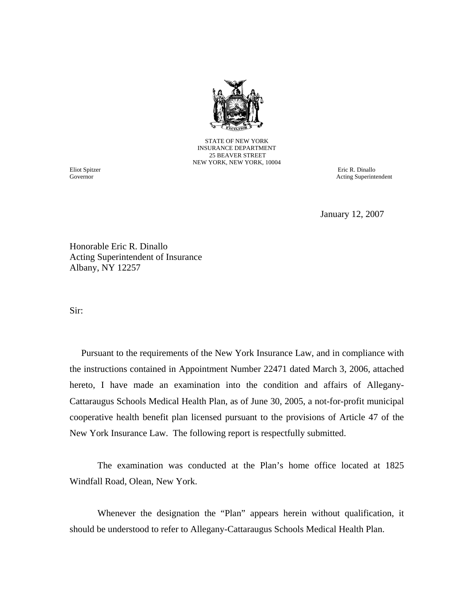

STATE OF NEW YORK INSURANCE DEPARTMENT 25 BEAVER STREET NEW YORK, NEW YORK, 10004

Eliot Spitzer Eric R. Dinallo Governor Acting Superintendent

January 12, 2007

Honorable Eric R. Dinallo Acting Superintendent of Insurance Albany, NY 12257

Sir:

 Pursuant to the requirements of the New York Insurance Law, and in compliance with the instructions contained in Appointment Number 22471 dated March 3, 2006, attached hereto, I have made an examination into the condition and affairs of Allegany-Cattaraugus Schools Medical Health Plan, as of June 30, 2005, a not-for-profit municipal cooperative health benefit plan licensed pursuant to the provisions of Article 47 of the New York Insurance Law. The following report is respectfully submitted.

The examination was conducted at the Plan's home office located at 1825 Windfall Road, Olean, New York.

Whenever the designation the "Plan" appears herein without qualification, it should be understood to refer to Allegany-Cattaraugus Schools Medical Health Plan.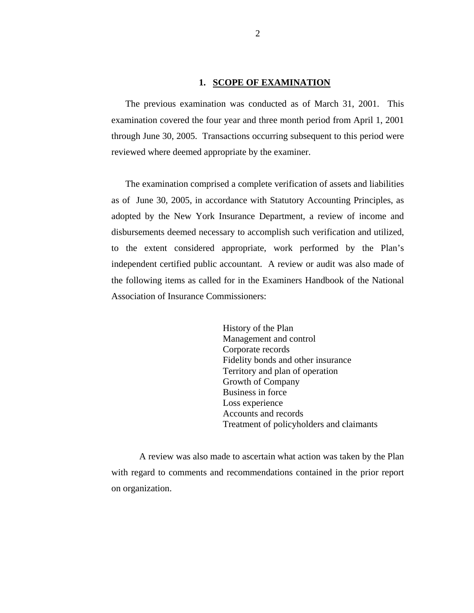#### **1. SCOPE OF EXAMINATION**

<span id="page-3-0"></span>The previous examination was conducted as of March 31, 2001. This examination covered the four year and three month period from April 1, 2001 through June 30, 2005. Transactions occurring subsequent to this period were reviewed where deemed appropriate by the examiner.

The examination comprised a complete verification of assets and liabilities as of June 30, 2005, in accordance with Statutory Accounting Principles, as adopted by the New York Insurance Department, a review of income and disbursements deemed necessary to accomplish such verification and utilized, to the extent considered appropriate, work performed by the Plan's independent certified public accountant. A review or audit was also made of the following items as called for in the Examiners Handbook of the National Association of Insurance Commissioners:

> History of the Plan Management and control Corporate records Fidelity bonds and other insurance Territory and plan of operation Growth of Company Business in force Loss experience Accounts and records Treatment of policyholders and claimants

A review was also made to ascertain what action was taken by the Plan with regard to comments and recommendations contained in the prior report on organization.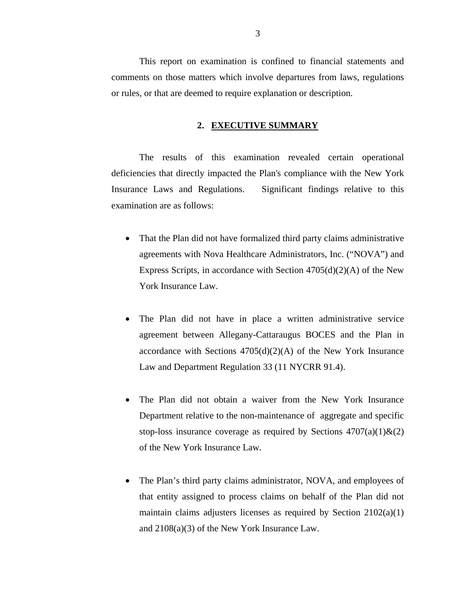<span id="page-4-0"></span>This report on examination is confined to financial statements and comments on those matters which involve departures from laws, regulations or rules, or that are deemed to require explanation or description.

#### **2. EXECUTIVE SUMMARY**

The results of this examination revealed certain operational deficiencies that directly impacted the Plan's compliance with the New York Insurance Laws and Regulations. Significant findings relative to this examination are as follows:

- That the Plan did not have formalized third party claims administrative agreements with Nova Healthcare Administrators, Inc. ("NOVA") and Express Scripts, in accordance with Section  $4705(d)(2)(A)$  of the New York Insurance Law.
- The Plan did not have in place a written administrative service agreement between Allegany-Cattaraugus BOCES and the Plan in accordance with Sections  $4705(d)(2)(A)$  of the New York Insurance Law and Department Regulation 33 (11 NYCRR 91.4).
- The Plan did not obtain a waiver from the New York Insurance Department relative to the non-maintenance of aggregate and specific stop-loss insurance coverage as required by Sections  $4707(a)(1) \& (2)$ of the New York Insurance Law.
- The Plan's third party claims administrator, NOVA, and employees of that entity assigned to process claims on behalf of the Plan did not maintain claims adjusters licenses as required by Section 2102(a)(1) and 2108(a)(3) of the New York Insurance Law.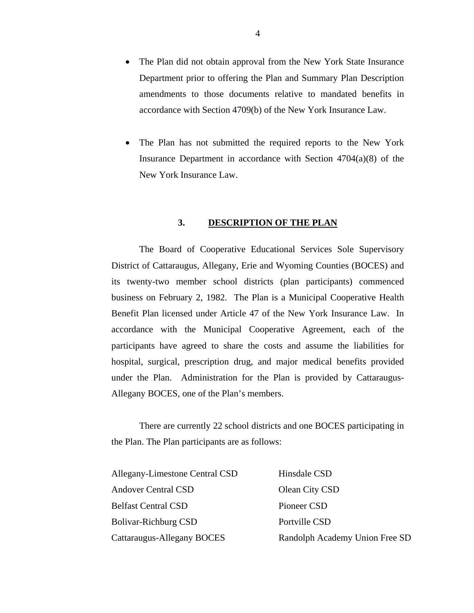- <span id="page-5-0"></span>• The Plan did not obtain approval from the New York State Insurance Department prior to offering the Plan and Summary Plan Description amendments to those documents relative to mandated benefits in accordance with Section 4709(b) of the New York Insurance Law.
- The Plan has not submitted the required reports to the New York Insurance Department in accordance with Section 4704(a)(8) of the New York Insurance Law.

### **3. DESCRIPTION OF THE PLAN**

The Board of Cooperative Educational Services Sole Supervisory District of Cattaraugus, Allegany, Erie and Wyoming Counties (BOCES) and its twenty-two member school districts (plan participants) commenced business on February 2, 1982. The Plan is a Municipal Cooperative Health Benefit Plan licensed under Article 47 of the New York Insurance Law. In accordance with the Municipal Cooperative Agreement, each of the participants have agreed to share the costs and assume the liabilities for hospital, surgical, prescription drug, and major medical benefits provided under the Plan. Administration for the Plan is provided by Cattaraugus-Allegany BOCES, one of the Plan's members.

There are currently 22 school districts and one BOCES participating in the Plan. The Plan participants are as follows:

| Allegany-Limestone Central CSD | Hinsdale CSD                   |
|--------------------------------|--------------------------------|
| <b>Andover Central CSD</b>     | Olean City CSD                 |
| <b>Belfast Central CSD</b>     | Pioneer CSD                    |
| <b>Bolivar-Richburg CSD</b>    | Portville CSD                  |
| Cattaraugus-Allegany BOCES     | Randolph Academy Union Free SD |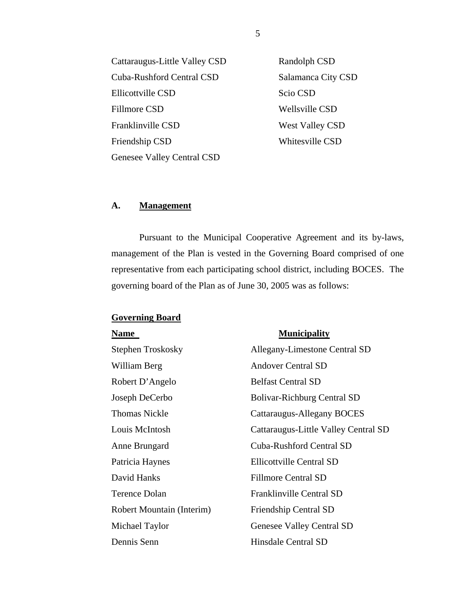Cattaraugus-Little Valley CSD Randolph CSD Cuba-Rushford Central CSD Salamanca City CSD Ellicottville CSD Scio CSD Fillmore CSD Wellsville CSD Franklinville CSD West Valley CSD Friendship CSD Whitesville CSD Genesee Valley Central CSD

## A. **Management**

Pursuant to the Municipal Cooperative Agreement and its by-laws, management of the Plan is vested in the Governing Board comprised of one representative from each participating school district, including BOCES. The governing board of the Plan as of June 30, 2005 was as follows:

#### **Governing Board**

| <b>Name</b>                      | <b>Municipality</b>                  |  |  |
|----------------------------------|--------------------------------------|--|--|
| Stephen Troskosky                | Allegany-Limestone Central SD        |  |  |
| William Berg                     | <b>Andover Central SD</b>            |  |  |
| Robert D'Angelo                  | <b>Belfast Central SD</b>            |  |  |
| Joseph DeCerbo                   | <b>Bolivar-Richburg Central SD</b>   |  |  |
| <b>Thomas Nickle</b>             | Cattaraugus-Allegany BOCES           |  |  |
| Louis McIntosh                   | Cattaraugus-Little Valley Central SD |  |  |
| Anne Brungard                    | Cuba-Rushford Central SD             |  |  |
| Patricia Haynes                  | <b>Ellicottville Central SD</b>      |  |  |
| David Hanks                      | <b>Fillmore Central SD</b>           |  |  |
| Terence Dolan                    | Franklinville Central SD             |  |  |
| <b>Robert Mountain (Interim)</b> | Friendship Central SD                |  |  |
| Michael Taylor                   | Genesee Valley Central SD            |  |  |
| Dennis Senn                      | Hinsdale Central SD                  |  |  |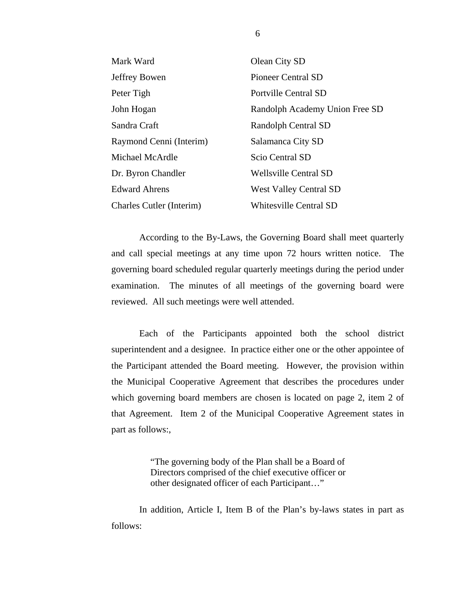| Mark Ward                | Olean City SD                  |
|--------------------------|--------------------------------|
| Jeffrey Bowen            | <b>Pioneer Central SD</b>      |
| Peter Tigh               | <b>Portville Central SD</b>    |
| John Hogan               | Randolph Academy Union Free SD |
| Sandra Craft             | Randolph Central SD            |
| Raymond Cenni (Interim)  | Salamanca City SD              |
| Michael McArdle          | Scio Central SD                |
| Dr. Byron Chandler       | <b>Wellsville Central SD</b>   |
| <b>Edward Ahrens</b>     | <b>West Valley Central SD</b>  |
| Charles Cutler (Interim) | <b>Whitesville Central SD</b>  |

According to the By-Laws, the Governing Board shall meet quarterly and call special meetings at any time upon 72 hours written notice. The governing board scheduled regular quarterly meetings during the period under examination. The minutes of all meetings of the governing board were reviewed. All such meetings were well attended.

Each of the Participants appointed both the school district superintendent and a designee. In practice either one or the other appointee of the Participant attended the Board meeting. However, the provision within the Municipal Cooperative Agreement that describes the procedures under which governing board members are chosen is located on page 2, item 2 of that Agreement. Item 2 of the Municipal Cooperative Agreement states in part as follows:,

> "The governing body of the Plan shall be a Board of Directors comprised of the chief executive officer or other designated officer of each Participant…"

In addition, Article I, Item B of the Plan's by-laws states in part as follows: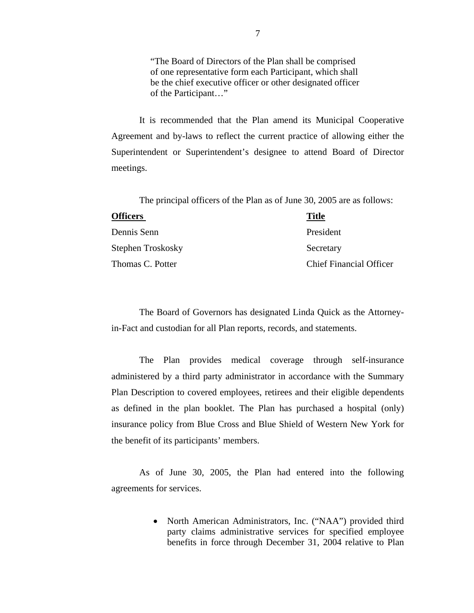"The Board of Directors of the Plan shall be comprised of one representative form each Participant, which shall be the chief executive officer or other designated officer of the Participant…"

It is recommended that the Plan amend its Municipal Cooperative Agreement and by-laws to reflect the current practice of allowing either the Superintendent or Superintendent's designee to attend Board of Director meetings.

The principal officers of the Plan as of June 30, 2005 are as follows:

| <b>Officers</b>   | <b>Title</b>                   |
|-------------------|--------------------------------|
| Dennis Senn       | President                      |
| Stephen Troskosky | Secretary                      |
| Thomas C. Potter  | <b>Chief Financial Officer</b> |

The Board of Governors has designated Linda Quick as the Attorneyin-Fact and custodian for all Plan reports, records, and statements.

The Plan provides medical coverage through self-insurance administered by a third party administrator in accordance with the Summary Plan Description to covered employees, retirees and their eligible dependents as defined in the plan booklet. The Plan has purchased a hospital (only) insurance policy from Blue Cross and Blue Shield of Western New York for the benefit of its participants' members.

As of June 30, 2005, the Plan had entered into the following agreements for services.

> • North American Administrators, Inc. ("NAA") provided third party claims administrative services for specified employee benefits in force through December 31, 2004 relative to Plan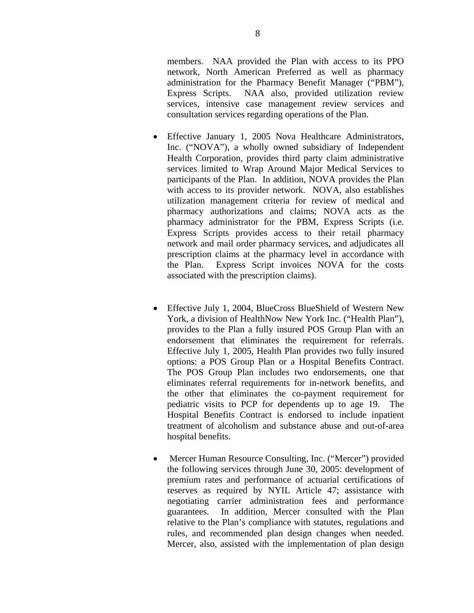members. NAA provided the Plan with access to its PPO network, North American Preferred as well as pharmacy administration for the Pharmacy Benefit Manager ("PBM"), Express Scripts. NAA also, provided utilization review services, intensive case management review services and consultation services regarding operations of the Plan.

- Effective January 1, 2005 Nova Healthcare Administrators, Inc. ("NOVA"), a wholly owned subsidiary of Independent Health Corporation, provides third party claim administrative services limited to Wrap Around Major Medical Services to participants of the Plan. In addition, NOVA provides the Plan with access to its provider network. NOVA, also establishes utilization management criteria for review of medical and pharmacy authorizations and claims; NOVA acts as the pharmacy administrator for the PBM, Express Scripts (i.e. Express Scripts provides access to their retail pharmacy network and mail order pharmacy services, and adjudicates all prescription claims at the pharmacy level in accordance with the Plan. Express Script invoices NOVA for the costs associated with the prescription claims).
- Effective July 1, 2004, BlueCross BlueShield of Western New York, a division of HealthNow New York Inc. ("Health Plan"), provides to the Plan a fully insured POS Group Plan with an endorsement that eliminates the requirement for referrals. Effective July 1, 2005, Health Plan provides two fully insured options: a POS Group Plan or a Hospital Benefits Contract. The POS Group Plan includes two endorsements, one that eliminates referral requirements for in-network benefits, and the other that eliminates the co-payment requirement for pediatric visits to PCP for dependents up to age 19. The Hospital Benefits Contract is endorsed to include inpatient treatment of alcoholism and substance abuse and out-of-area hospital benefits.
- Mercer Human Resource Consulting, Inc. ("Mercer") provided the following services through June 30, 2005: development of premium rates and performance of actuarial certifications of reserves as required by NYIL Article 47; assistance with negotiating carrier administration fees and performance guarantees. In addition, Mercer consulted with the Plan relative to the Plan's compliance with statutes, regulations and rules, and recommended plan design changes when needed. Mercer, also, assisted with the implementation of plan design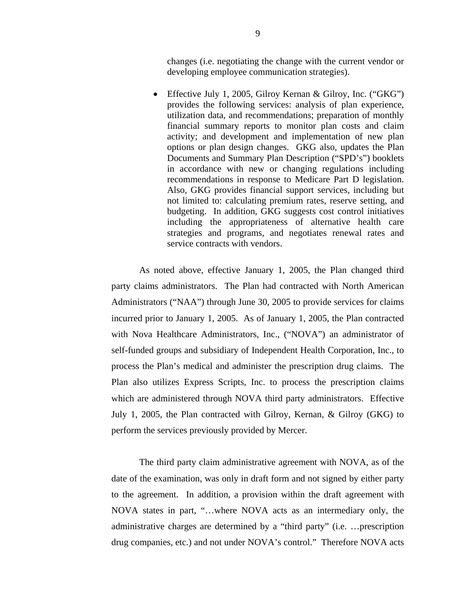changes (i.e. negotiating the change with the current vendor or developing employee communication strategies).

• Effective July 1, 2005, Gilroy Kernan & Gilroy, Inc. ("GKG") provides the following services: analysis of plan experience, utilization data, and recommendations; preparation of monthly financial summary reports to monitor plan costs and claim activity; and development and implementation of new plan options or plan design changes. GKG also, updates the Plan Documents and Summary Plan Description ("SPD's") booklets in accordance with new or changing regulations including recommendations in response to Medicare Part D legislation. Also, GKG provides financial support services, including but not limited to: calculating premium rates, reserve setting, and budgeting. In addition, GKG suggests cost control initiatives including the appropriateness of alternative health care strategies and programs, and negotiates renewal rates and service contracts with vendors.

As noted above, effective January 1, 2005, the Plan changed third party claims administrators. The Plan had contracted with North American Administrators ("NAA") through June 30, 2005 to provide services for claims incurred prior to January 1, 2005. As of January 1, 2005, the Plan contracted with Nova Healthcare Administrators, Inc., ("NOVA") an administrator of self-funded groups and subsidiary of Independent Health Corporation, Inc., to process the Plan's medical and administer the prescription drug claims. The Plan also utilizes Express Scripts, Inc. to process the prescription claims which are administered through NOVA third party administrators. Effective July 1, 2005, the Plan contracted with Gilroy, Kernan, & Gilroy (GKG) to perform the services previously provided by Mercer.

The third party claim administrative agreement with NOVA, as of the date of the examination, was only in draft form and not signed by either party to the agreement. In addition, a provision within the draft agreement with NOVA states in part, "…where NOVA acts as an intermediary only, the administrative charges are determined by a "third party" (i.e. …prescription drug companies, etc.) and not under NOVA's control." Therefore NOVA acts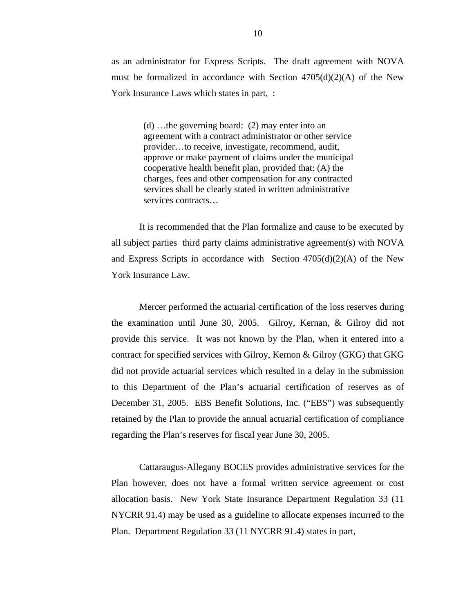as an administrator for Express Scripts. The draft agreement with NOVA must be formalized in accordance with Section  $4705(d)(2)(A)$  of the New York Insurance Laws which states in part, :

> (d) …the governing board: (2) may enter into an agreement with a contract administrator or other service provider…to receive, investigate, recommend, audit, approve or make payment of claims under the municipal cooperative health benefit plan, provided that: (A) the charges, fees and other compensation for any contracted services shall be clearly stated in written administrative services contracts…

It is recommended that the Plan formalize and cause to be executed by all subject parties third party claims administrative agreement(s) with NOVA and Express Scripts in accordance with Section  $4705(d)(2)(A)$  of the New York Insurance Law.

Mercer performed the actuarial certification of the loss reserves during the examination until June 30, 2005. Gilroy, Kernan, & Gilroy did not provide this service. It was not known by the Plan, when it entered into a contract for specified services with Gilroy, Kernon & Gilroy (GKG) that GKG did not provide actuarial services which resulted in a delay in the submission to this Department of the Plan's actuarial certification of reserves as of December 31, 2005. EBS Benefit Solutions, Inc. ("EBS") was subsequently retained by the Plan to provide the annual actuarial certification of compliance regarding the Plan's reserves for fiscal year June 30, 2005.

Cattaraugus-Allegany BOCES provides administrative services for the Plan however, does not have a formal written service agreement or cost allocation basis. New York State Insurance Department Regulation 33 (11 NYCRR 91.4) may be used as a guideline to allocate expenses incurred to the Plan. Department Regulation 33 (11 NYCRR 91.4) states in part,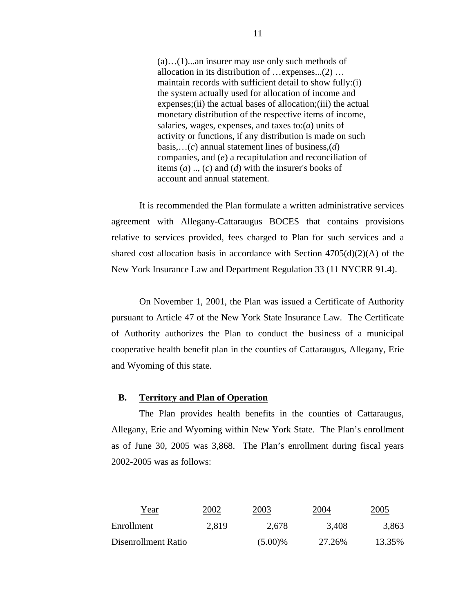(a)…(1)...an insurer may use only such methods of allocation in its distribution of …expenses...(2) … maintain records with sufficient detail to show fully:(i) the system actually used for allocation of income and expenses;(ii) the actual bases of allocation;(iii) the actual monetary distribution of the respective items of income, salaries, wages, expenses, and taxes to:(*a*) units of activity or functions, if any distribution is made on such basis,…(*c*) annual statement lines of business,(*d*) companies, and (*e*) a recapitulation and reconciliation of items (*a*) .., (*c*) and (*d*) with the insurer's books of account and annual statement.

It is recommended the Plan formulate a written administrative services agreement with Allegany-Cattaraugus BOCES that contains provisions relative to services provided, fees charged to Plan for such services and a shared cost allocation basis in accordance with Section  $4705(d)(2)(A)$  of the New York Insurance Law and Department Regulation 33 (11 NYCRR 91.4).

On November 1, 2001, the Plan was issued a Certificate of Authority pursuant to Article 47 of the New York State Insurance Law. The Certificate of Authority authorizes the Plan to conduct the business of a municipal cooperative health benefit plan in the counties of Cattaraugus, Allegany, Erie and Wyoming of this state.

#### **B. Territory and Plan of Operation**

The Plan provides health benefits in the counties of Cattaraugus, Allegany, Erie and Wyoming within New York State. The Plan's enrollment as of June 30, 2005 was 3,868. The Plan's enrollment during fiscal years 2002-2005 was as follows:

| Year                | 2002  | 2003       | 2004   | 2005   |
|---------------------|-------|------------|--------|--------|
| Enrollment          | 2,819 | 2.678      | 3,408  | 3,863  |
| Disenrollment Ratio |       | $(5.00)\%$ | 27.26% | 13.35% |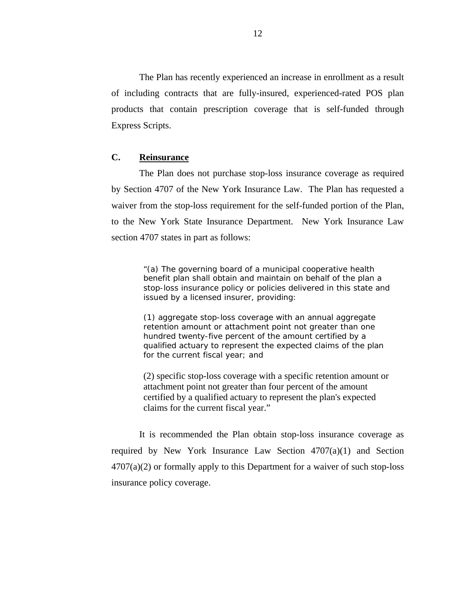<span id="page-13-0"></span>The Plan has recently experienced an increase in enrollment as a result of including contracts that are fully-insured, experienced-rated POS plan products that contain prescription coverage that is self-funded through Express Scripts.

#### **C. Reinsurance**

The Plan does not purchase stop-loss insurance coverage as required by Section 4707 of the New York Insurance Law. The Plan has requested a waiver from the stop-loss requirement for the self-funded portion of the Plan, to the New York State Insurance Department. New York Insurance Law section 4707 states in part as follows:

> "(a) The governing board of a municipal cooperative health benefit plan shall obtain and maintain on behalf of the plan a stop-loss insurance policy or policies delivered in this state and issued by a licensed insurer, providing:

 for the current fiscal year; and (1) aggregate stop-loss coverage with an annual aggregate retention amount or attachment point not greater than one hundred twenty-five percent of the amount certified by a qualified actuary to represent the expected claims of the plan

(2) specific stop-loss coverage with a specific retention amount or attachment point not greater than four percent of the amount certified by a qualified actuary to represent the plan's expected claims for the current fiscal year."

It is recommended the Plan obtain stop-loss insurance coverage as required by New York Insurance Law Section  $4707(a)(1)$  and Section 4707(a)(2) or formally apply to this Department for a waiver of such stop-loss insurance policy coverage.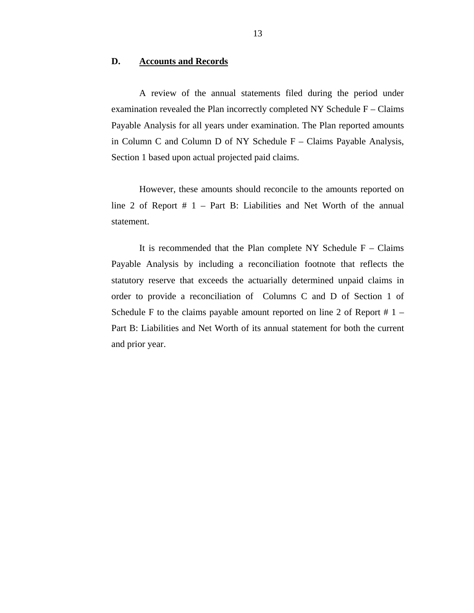#### <span id="page-14-0"></span>**D. Accounts and Records**

A review of the annual statements filed during the period under examination revealed the Plan incorrectly completed NY Schedule F – Claims Payable Analysis for all years under examination. The Plan reported amounts in Column C and Column D of NY Schedule F – Claims Payable Analysis, Section 1 based upon actual projected paid claims.

However, these amounts should reconcile to the amounts reported on line 2 of Report # 1 – Part B: Liabilities and Net Worth of the annual statement.

It is recommended that the Plan complete NY Schedule  $F - \text{Clains}$ Payable Analysis by including a reconciliation footnote that reflects the statutory reserve that exceeds the actuarially determined unpaid claims in order to provide a reconciliation of Columns C and D of Section 1 of Schedule F to the claims payable amount reported on line 2 of Report  $# 1 -$ Part B: Liabilities and Net Worth of its annual statement for both the current and prior year.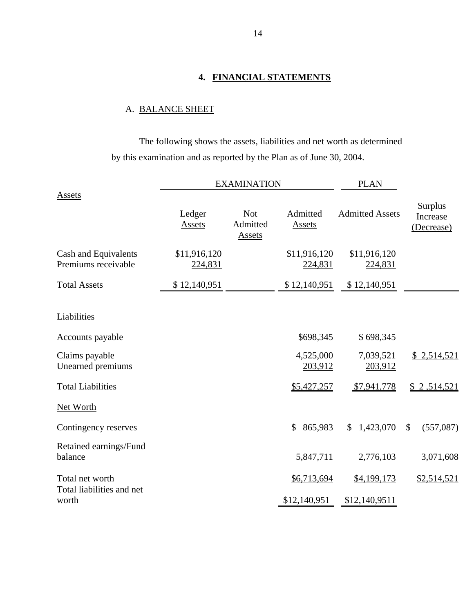## **4. FINANCIAL STATEMENTS**

## A. BALANCE SHEET

The following shows the assets, liabilities and net worth as determined by this examination and as reported by the Plan as of June 30, 2004.

|                                             |                         | <b>EXAMINATION</b>                      |                           | <b>PLAN</b>             |                                   |
|---------------------------------------------|-------------------------|-----------------------------------------|---------------------------|-------------------------|-----------------------------------|
| Assets                                      | Ledger<br>Assets        | <b>Not</b><br>Admitted<br><b>Assets</b> | Admitted<br><b>Assets</b> | <b>Admitted Assets</b>  | Surplus<br>Increase<br>(Decrease) |
| Cash and Equivalents<br>Premiums receivable | \$11,916,120<br>224,831 |                                         | \$11,916,120<br>224,831   | \$11,916,120<br>224,831 |                                   |
| <b>Total Assets</b>                         | \$12,140,951            |                                         | \$12,140,951              | \$12,140,951            |                                   |
| Liabilities                                 |                         |                                         |                           |                         |                                   |
| Accounts payable                            |                         |                                         | \$698,345                 | \$698,345               |                                   |
| Claims payable<br>Unearned premiums         |                         |                                         | 4,525,000<br>203,912      | 7,039,521<br>203,912    | \$2,514,521                       |
| <b>Total Liabilities</b>                    |                         |                                         | \$5,427,257               | \$7,941,778             | \$2,514,521                       |
| Net Worth                                   |                         |                                         |                           |                         |                                   |
| Contingency reserves                        |                         |                                         | \$<br>865,983             | 1,423,070<br>\$         | $\mathcal{S}$<br>(557,087)        |
| Retained earnings/Fund<br>balance           |                         |                                         | 5,847,711                 | 2,776,103               | 3,071,608                         |
| Total net worth                             |                         |                                         | \$6,713,694               | \$4,199,173             | \$2,514,521                       |
| Total liabilities and net<br>worth          |                         |                                         | \$12,140,951              | \$12,140,9511           |                                   |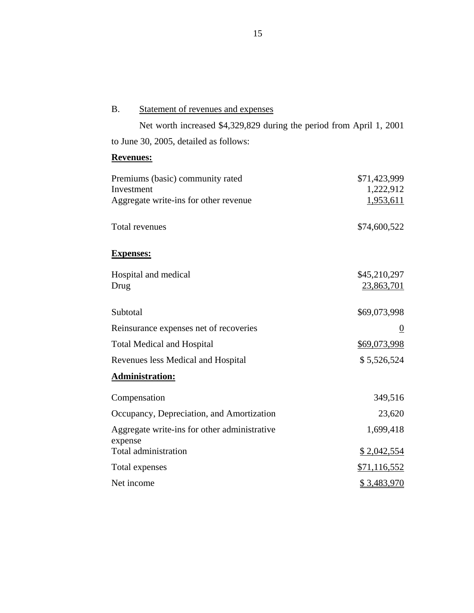B. Statement of revenues and expenses

Net worth increased \$4,329,829 during the period from April 1, 2001 to June 30, 2005, detailed as follows:

### **Revenues:**

| Premiums (basic) community rated<br>Investment<br>Aggregate write-ins for other revenue | \$71,423,999<br>1,222,912<br>1,953,611 |
|-----------------------------------------------------------------------------------------|----------------------------------------|
| Total revenues                                                                          | \$74,600,522                           |
| <b>Expenses:</b>                                                                        |                                        |
| Hospital and medical<br>Drug                                                            | \$45,210,297<br>23,863,701             |
| Subtotal                                                                                | \$69,073,998                           |
| Reinsurance expenses net of recoveries                                                  | $\underline{0}$                        |
| <b>Total Medical and Hospital</b>                                                       | \$69,073,998                           |
| Revenues less Medical and Hospital                                                      | \$5,526,524                            |
| <b>Administration:</b>                                                                  |                                        |
| Compensation                                                                            | 349,516                                |
| Occupancy, Depreciation, and Amortization                                               | 23,620                                 |
| Aggregate write-ins for other administrative<br>expense                                 | 1,699,418                              |
| Total administration                                                                    | <u>\$2,042,554</u>                     |
| Total expenses                                                                          | \$71,116,552                           |
| Net income                                                                              | <u>\$3,483,970</u>                     |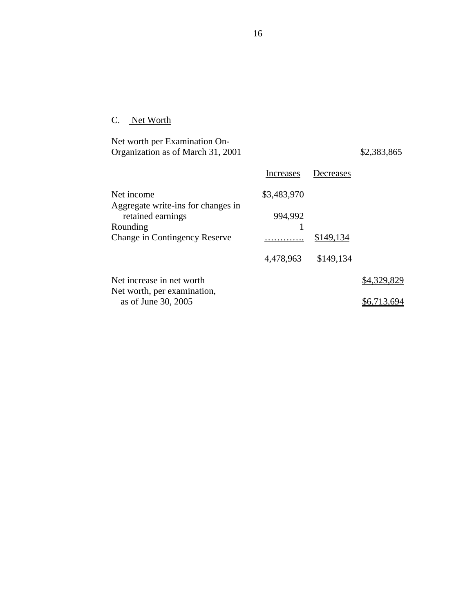## C. Net Worth

Net worth per Examination On-Organization as of March 31, 2001 <br>
Increases Decreases

|                                                         | 11101 00000 | DUULUWUU  |             |
|---------------------------------------------------------|-------------|-----------|-------------|
| Net income                                              | \$3,483,970 |           |             |
| Aggregate write-ins for changes in<br>retained earnings | 994,992     |           |             |
| Rounding                                                |             |           |             |
| <b>Change in Contingency Reserve</b>                    | .           | \$149,134 |             |
|                                                         | 4,478,963   | \$149,134 |             |
| Net increase in net worth                               |             |           | \$4,329,829 |
| Net worth, per examination,<br>as of June 30, 2005      |             |           |             |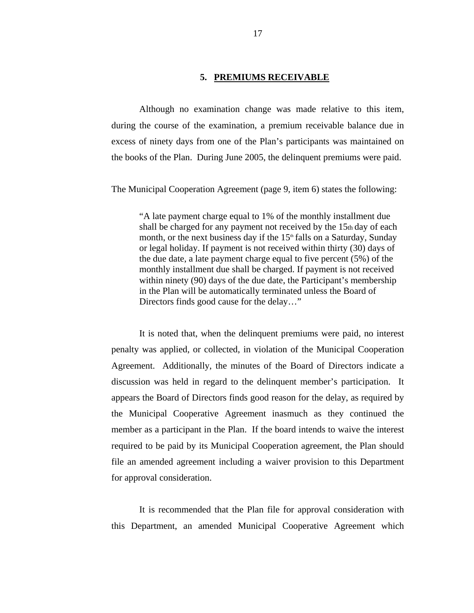#### **5. PREMIUMS RECEIVABLE**

<span id="page-18-0"></span>Although no examination change was made relative to this item, during the course of the examination, a premium receivable balance due in excess of ninety days from one of the Plan's participants was maintained on the books of the Plan. During June 2005, the delinquent premiums were paid.

The Municipal Cooperation Agreement (page 9, item 6) states the following:

"A late payment charge equal to 1% of the monthly installment due shall be charged for any payment not received by the 15th day of each month, or the next business day if the  $15<sup>th</sup>$  falls on a Saturday, Sunday or legal holiday. If payment is not received within thirty (30) days of the due date, a late payment charge equal to five percent (5%) of the monthly installment due shall be charged. If payment is not received within ninety (90) days of the due date, the Participant's membership in the Plan will be automatically terminated unless the Board of Directors finds good cause for the delay…"

It is noted that, when the delinquent premiums were paid, no interest penalty was applied, or collected, in violation of the Municipal Cooperation Agreement. Additionally, the minutes of the Board of Directors indicate a discussion was held in regard to the delinquent member's participation. It appears the Board of Directors finds good reason for the delay, as required by the Municipal Cooperative Agreement inasmuch as they continued the member as a participant in the Plan. If the board intends to waive the interest required to be paid by its Municipal Cooperation agreement, the Plan should file an amended agreement including a waiver provision to this Department for approval consideration.

It is recommended that the Plan file for approval consideration with this Department, an amended Municipal Cooperative Agreement which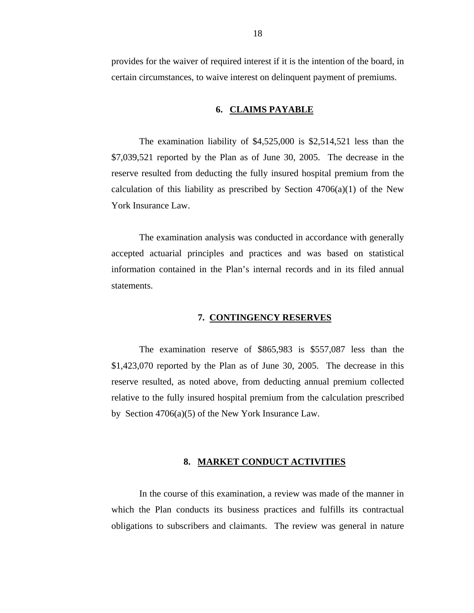<span id="page-19-0"></span>provides for the waiver of required interest if it is the intention of the board, in certain circumstances, to waive interest on delinquent payment of premiums.

#### **6. CLAIMS PAYABLE**

The examination liability of \$4,525,000 is \$2,514,521 less than the \$7,039,521 reported by the Plan as of June 30, 2005. The decrease in the reserve resulted from deducting the fully insured hospital premium from the calculation of this liability as prescribed by Section  $4706(a)(1)$  of the New York Insurance Law.

The examination analysis was conducted in accordance with generally accepted actuarial principles and practices and was based on statistical information contained in the Plan's internal records and in its filed annual statements.

#### **7. CONTINGENCY RESERVES**

The examination reserve of \$865,983 is \$557,087 less than the \$1,423,070 reported by the Plan as of June 30, 2005. The decrease in this reserve resulted, as noted above, from deducting annual premium collected relative to the fully insured hospital premium from the calculation prescribed by Section 4706(a)(5) of the New York Insurance Law.

#### **8. MARKET CONDUCT ACTIVITIES**

In the course of this examination, a review was made of the manner in which the Plan conducts its business practices and fulfills its contractual obligations to subscribers and claimants. The review was general in nature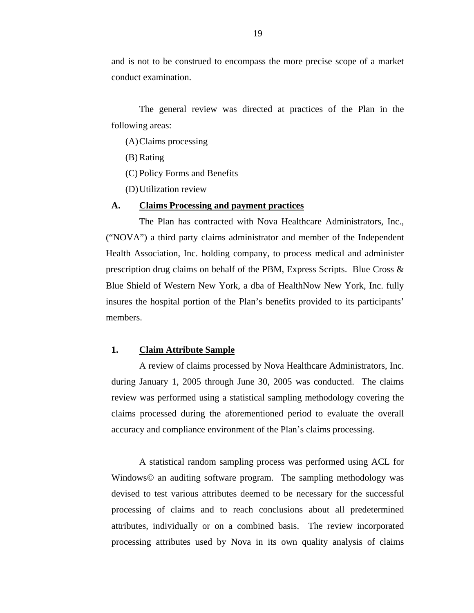<span id="page-20-0"></span>and is not to be construed to encompass the more precise scope of a market conduct examination.

The general review was directed at practices of the Plan in the following areas:

- (A)Claims processing
- (B) Rating
- (C) Policy Forms and Benefits
- (D)Utilization review

#### **A. Claims Processing and payment practices**

The Plan has contracted with Nova Healthcare Administrators, Inc., ("NOVA") a third party claims administrator and member of the Independent Health Association, Inc. holding company, to process medical and administer prescription drug claims on behalf of the PBM, Express Scripts. Blue Cross & Blue Shield of Western New York, a dba of HealthNow New York, Inc. fully insures the hospital portion of the Plan's benefits provided to its participants' members.

### **1. Claim Attribute Sample**

A review of claims processed by Nova Healthcare Administrators, Inc. during January 1, 2005 through June 30, 2005 was conducted. The claims review was performed using a statistical sampling methodology covering the claims processed during the aforementioned period to evaluate the overall accuracy and compliance environment of the Plan's claims processing.

A statistical random sampling process was performed using ACL for Windows© an auditing software program. The sampling methodology was devised to test various attributes deemed to be necessary for the successful processing of claims and to reach conclusions about all predetermined attributes, individually or on a combined basis. The review incorporated processing attributes used by Nova in its own quality analysis of claims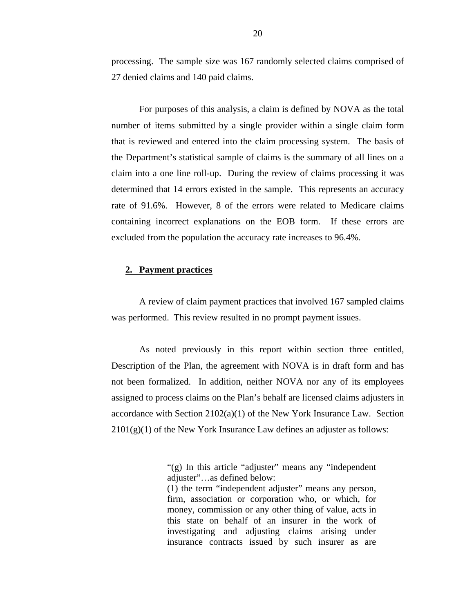processing. The sample size was 167 randomly selected claims comprised of 27 denied claims and 140 paid claims.

For purposes of this analysis, a claim is defined by NOVA as the total number of items submitted by a single provider within a single claim form that is reviewed and entered into the claim processing system. The basis of the Department's statistical sample of claims is the summary of all lines on a claim into a one line roll-up. During the review of claims processing it was determined that 14 errors existed in the sample. This represents an accuracy rate of 91.6%. However, 8 of the errors were related to Medicare claims containing incorrect explanations on the EOB form. If these errors are excluded from the population the accuracy rate increases to 96.4%.

#### **2. Payment practices**

A review of claim payment practices that involved 167 sampled claims was performed. This review resulted in no prompt payment issues.

As noted previously in this report within section three entitled, Description of the Plan, the agreement with NOVA is in draft form and has not been formalized. In addition, neither NOVA nor any of its employees assigned to process claims on the Plan's behalf are licensed claims adjusters in accordance with Section  $2102(a)(1)$  of the New York Insurance Law. Section  $2101(g)(1)$  of the New York Insurance Law defines an adjuster as follows:

(1) the term "independent adjuster" means any person, firm, association or corporation who, or which, for money, commission or any other thing of value, acts in this state on behalf of an insurer in the work of investigating and adjusting claims arising under insurance contracts issued by such insurer as are

<sup>&</sup>quot;(g) In this article "adjuster" means any "independent adjuster"…as defined below: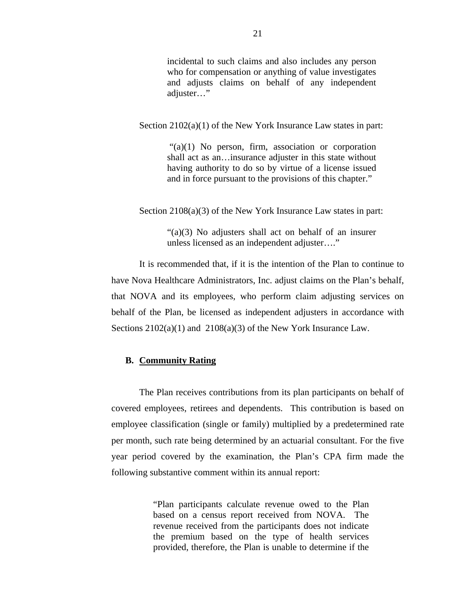<span id="page-22-0"></span>incidental to such claims and also includes any person who for compensation or anything of value investigates and adjusts claims on behalf of any independent adjuster…"

Section  $2102(a)(1)$  of the New York Insurance Law states in part:

"(a)(1) No person, firm, association or corporation shall act as an…insurance adjuster in this state without having authority to do so by virtue of a license issued and in force pursuant to the provisions of this chapter."

Section 2108(a)(3) of the New York Insurance Law states in part:

"(a)(3) No adjusters shall act on behalf of an insurer unless licensed as an independent adjuster…."

It is recommended that, if it is the intention of the Plan to continue to have Nova Healthcare Administrators, Inc. adjust claims on the Plan's behalf, that NOVA and its employees, who perform claim adjusting services on behalf of the Plan, be licensed as independent adjusters in accordance with Sections  $2102(a)(1)$  and  $2108(a)(3)$  of the New York Insurance Law.

#### **B. Community Rating**

The Plan receives contributions from its plan participants on behalf of covered employees, retirees and dependents. This contribution is based on employee classification (single or family) multiplied by a predetermined rate per month, such rate being determined by an actuarial consultant. For the five year period covered by the examination, the Plan's CPA firm made the following substantive comment within its annual report:

> "Plan participants calculate revenue owed to the Plan based on a census report received from NOVA. The revenue received from the participants does not indicate the premium based on the type of health services provided, therefore, the Plan is unable to determine if the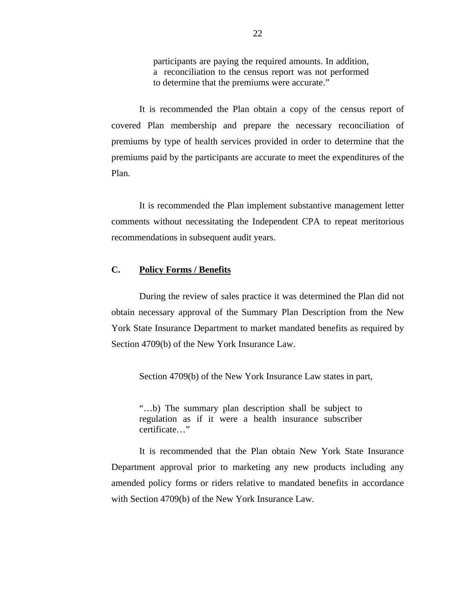participants are paying the required amounts. In addition, a reconciliation to the census report was not performed to determine that the premiums were accurate."

<span id="page-23-0"></span>It is recommended the Plan obtain a copy of the census report of covered Plan membership and prepare the necessary reconciliation of premiums by type of health services provided in order to determine that the premiums paid by the participants are accurate to meet the expenditures of the Plan.

It is recommended the Plan implement substantive management letter comments without necessitating the Independent CPA to repeat meritorious recommendations in subsequent audit years.

#### **C. Policy Forms / Benefits**

During the review of sales practice it was determined the Plan did not obtain necessary approval of the Summary Plan Description from the New York State Insurance Department to market mandated benefits as required by Section 4709(b) of the New York Insurance Law.

Section 4709(b) of the New York Insurance Law states in part,

"…b) The summary plan description shall be subject to regulation as if it were a health insurance subscriber certificate…"

It is recommended that the Plan obtain New York State Insurance Department approval prior to marketing any new products including any amended policy forms or riders relative to mandated benefits in accordance with Section 4709(b) of the New York Insurance Law.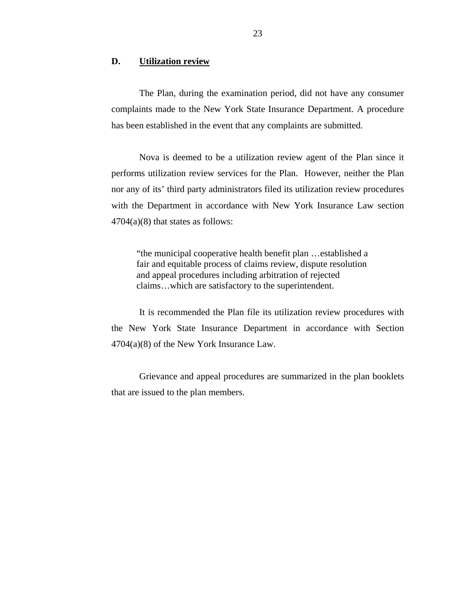#### <span id="page-24-0"></span>**D. Utilization review**

 The Plan, during the examination period, did not have any consumer complaints made to the New York State Insurance Department. A procedure has been established in the event that any complaints are submitted.

Nova is deemed to be a utilization review agent of the Plan since it performs utilization review services for the Plan. However, neither the Plan nor any of its' third party administrators filed its utilization review procedures with the Department in accordance with New York Insurance Law section 4704(a)(8) that states as follows:

"the municipal cooperative health benefit plan …established a fair and equitable process of claims review, dispute resolution and appeal procedures including arbitration of rejected claims…which are satisfactory to the superintendent.

It is recommended the Plan file its utilization review procedures with the New York State Insurance Department in accordance with Section 4704(a)(8) of the New York Insurance Law.

Grievance and appeal procedures are summarized in the plan booklets that are issued to the plan members.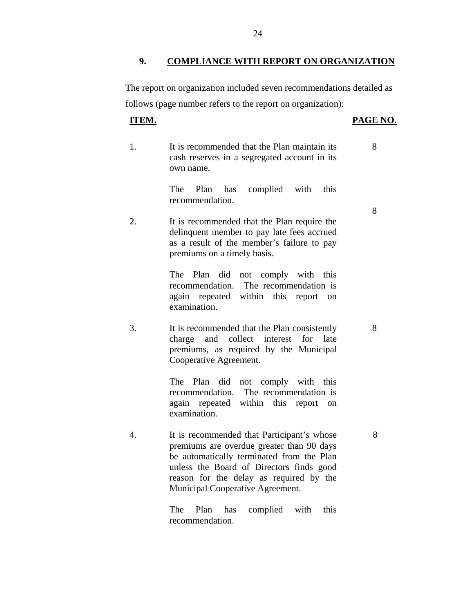**9. COMPLIANCE WITH REPORT ON ORGANIZATION** 

The report on organization included seven recommendations detailed as follows (page number refers to the report on organization):

#### **ITEM. PAGE NO.**

1. It is recommended that the Plan maintain its 8 cash reserves in a segregated account in its own name.

> The Plan has complied with this recommendation.

2. It is recommended that the Plan require the delinquent member to pay late fees accrued as a result of the member's failure to pay premiums on a timely basis.

> The Plan did not comply with this recommendation. The recommendation is again repeated within this report on examination.

3. It is recommended that the Plan consistently 8 charge and collect interest for late premiums, as required by the Municipal Cooperative Agreement.

> The Plan did not comply with this recommendation. The recommendation is again repeated within this report on examination.

4. It is recommended that Participant's whose 8 premiums are overdue greater than 90 days be automatically terminated from the Plan unless the Board of Directors finds good reason for the delay as required by the Municipal Cooperative Agreement.

> The Plan has complied with this recommendation.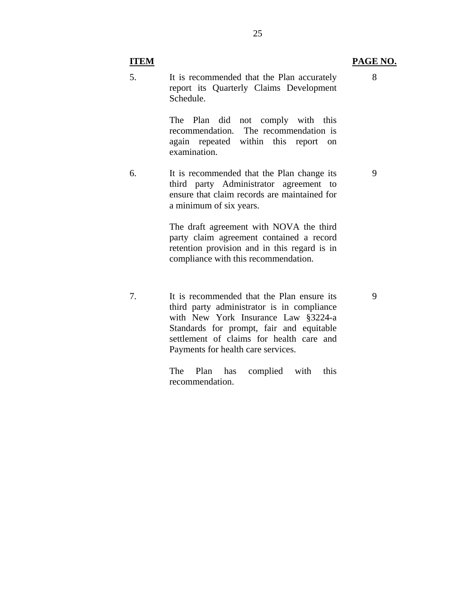## **ITEM PAGE NO.**

5. It is recommended that the Plan accurately report its Quarterly Claims Development Schedule.

> The Plan did not comply with this recommendation. The recommendation is again repeated within this report on examination.

6. It is recommended that the Plan change its third party Administrator agreement to ensure that claim records are maintained for a minimum of six years.

> The draft agreement with NOVA the third party claim agreement contained a record retention provision and in this regard is in compliance with this recommendation.

7. It is recommended that the Plan ensure its third party administrator is in compliance with New York Insurance Law §3224-a Standards for prompt, fair and equitable settlement of claims for health care and Payments for health care services.

> The Plan has recommendation. complied with this

#### 9

#### 8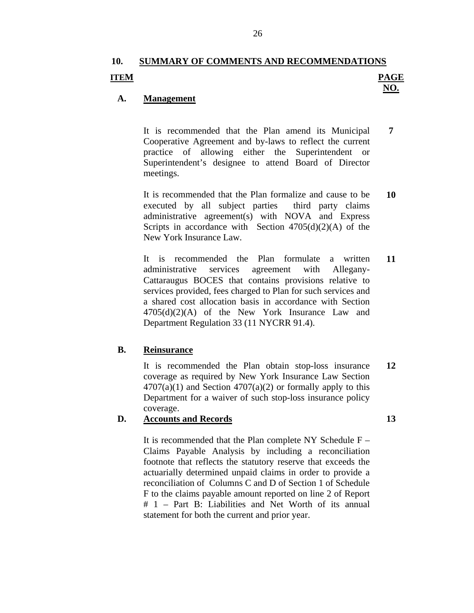#### **ITEM 10. SUMMARY OF COMMENTS AND RECOMMENDATIONS ITEM PAGE NO.**

#### **A. Management**

It is recommended that the Plan amend its Municipal Cooperative Agreement and by-laws to reflect the current practice of allowing either the Superintendent or Superintendent's designee to attend Board of Director meetings. **7** 

It is recommended that the Plan formalize and cause to be executed by all subject parties third party claims administrative agreement(s) with NOVA and Express Scripts in accordance with Section  $4705(d)(2)(A)$  of the New York Insurance Law. **10** 

It is recommended the Plan formulate a written administrative services agreement with Allegany-Cattaraugus BOCES that contains provisions relative to services provided, fees charged to Plan for such services and a shared cost allocation basis in accordance with Section 4705(d)(2)(A) of the New York Insurance Law and Department Regulation 33 (11 NYCRR 91.4). **11** 

#### **B. Reinsurance**

It is recommended the Plan obtain stop-loss insurance coverage as required by New York Insurance Law Section  $4707(a)(1)$  and Section  $4707(a)(2)$  or formally apply to this Department for a waiver of such stop-loss insurance policy coverage. **12** 

#### **D. Accounts and Records**

It is recommended that the Plan complete NY Schedule  $F -$ Claims Payable Analysis by including a reconciliation footnote that reflects the statutory reserve that exceeds the actuarially determined unpaid claims in order to provide a reconciliation of Columns C and D of Section 1 of Schedule F to the claims payable amount reported on line 2 of Report # 1 – Part B: Liabilities and Net Worth of its annual statement for both the current and prior year.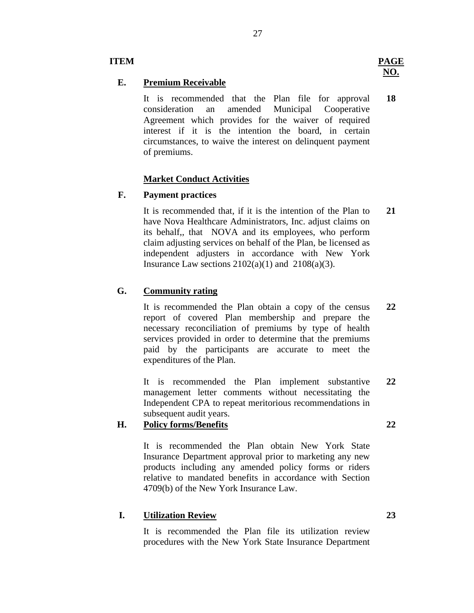### **ITEM**

# **Premium Receivable E. Premium Receivable PAGE**

It is recommended that the Plan file for approval consideration an amended Municipal Cooperative Agreement which provides for the waiver of required interest if it is the intention the board, in certain circumstances, to waive the interest on delinquent payment of premiums. **18** 

### **Market Conduct Activities**

### **F. Payment practices**

It is recommended that, if it is the intention of the Plan to have Nova Healthcare Administrators, Inc. adjust claims on its behalf,, that NOVA and its employees, who perform claim adjusting services on behalf of the Plan, be licensed as independent adjusters in accordance with New York Insurance Law sections  $2102(a)(1)$  and  $2108(a)(3)$ . **21** 

#### **G. Community rating**

It is recommended the Plan obtain a copy of the census report of covered Plan membership and prepare the necessary reconciliation of premiums by type of health services provided in order to determine that the premiums paid by the participants are accurate to meet the expenditures of the Plan. **22** 

It is recommended the Plan implement substantive management letter comments without necessitating the Independent CPA to repeat meritorious recommendations in subsequent audit years. **22** 

#### **H. Policy forms/Benefits**

It is recommended the Plan obtain New York State Insurance Department approval prior to marketing any new products including any amended policy forms or riders relative to mandated benefits in accordance with Section 4709(b) of the New York Insurance Law.

### **I. Utilization Review 23**

It is recommended the Plan file its utilization review procedures with the New York State Insurance Department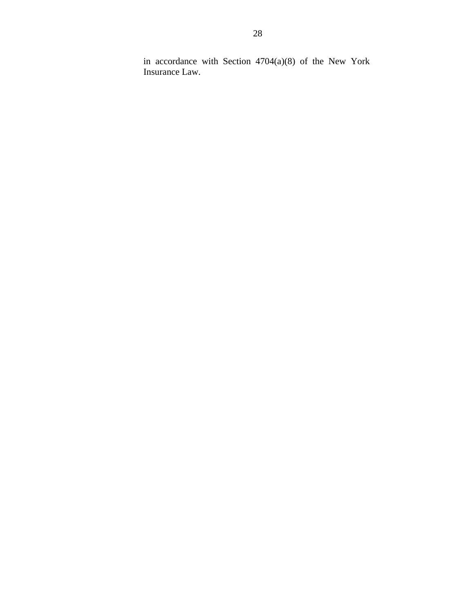in accordance with Section 4704(a)(8) of the New York Insurance Law.